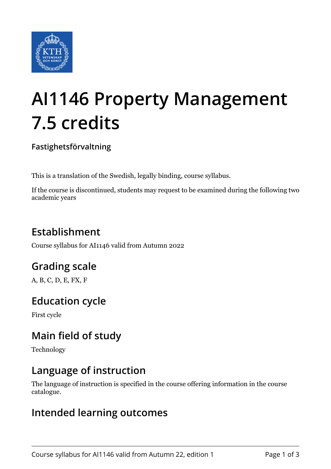

# **AI1146 Property Management 7.5 credits**

**Fastighetsförvaltning**

This is a translation of the Swedish, legally binding, course syllabus.

If the course is discontinued, students may request to be examined during the following two academic years

# **Establishment**

Course syllabus for AI1146 valid from Autumn 2022

## **Grading scale**

A, B, C, D, E, FX, F

## **Education cycle**

First cycle

## **Main field of study**

Technology

## **Language of instruction**

The language of instruction is specified in the course offering information in the course catalogue.

#### **Intended learning outcomes**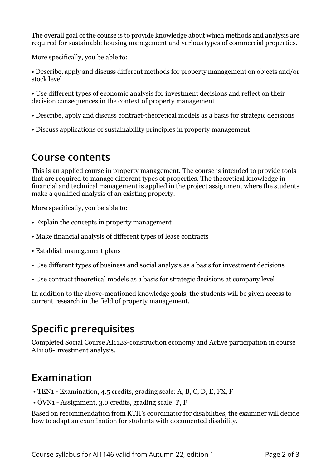The overall goal of the course is to provide knowledge about which methods and analysis are required for sustainable housing management and various types of commercial properties.

More specifically, you be able to:

• Describe, apply and discuss different methods for property management on objects and/or stock level

• Use different types of economic analysis for investment decisions and reflect on their decision consequences in the context of property management

- Describe, apply and discuss contract-theoretical models as a basis for strategic decisions
- Discuss applications of sustainability principles in property management

#### **Course contents**

This is an applied course in property management. The course is intended to provide tools that are required to manage different types of properties. The theoretical knowledge in financial and technical management is applied in the project assignment where the students make a qualified analysis of an existing property.

More specifically, you be able to:

- Explain the concepts in property management
- Make financial analysis of different types of lease contracts
- Establish management plans
- Use different types of business and social analysis as a basis for investment decisions
- Use contract theoretical models as a basis for strategic decisions at company level

In addition to the above-mentioned knowledge goals, the students will be given access to current research in the field of property management.

## **Specific prerequisites**

Completed Social Course AI1128-construction economy and Active participation in course AI1108-Investment analysis.

## **Examination**

- TEN1 Examination, 4.5 credits, grading scale: A, B, C, D, E, FX, F
- ÖVN1 Assignment, 3.0 credits, grading scale: P, F

Based on recommendation from KTH's coordinator for disabilities, the examiner will decide how to adapt an examination for students with documented disability.